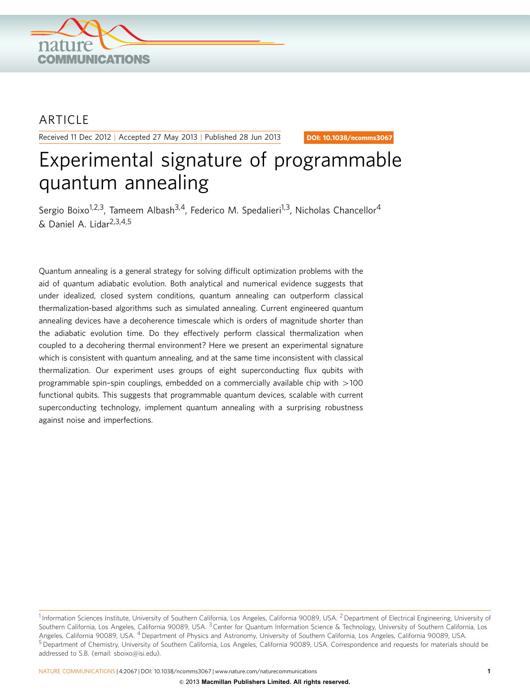

# ARTICLE

Received 11 Dec 2012 | Accepted 27 May 2013 | Published 28 Jun 2013

DOI: 10.1038/ncomms3067

# Experimental signature of programmable quantum annealing

Sergio Boixo<sup>1,2,3</sup>, Tameem Albash<sup>3,4</sup>, Federico M. Spedalieri<sup>1,3</sup>, Nicholas Chancellor<sup>4</sup>  $&$  Daniel A. Lidar<sup>2,3,4,5</sup>

Quantum annealing is a general strategy for solving difficult optimization problems with the aid of quantum adiabatic evolution. Both analytical and numerical evidence suggests that under idealized, closed system conditions, quantum annealing can outperform classical thermalization-based algorithms such as simulated annealing. Current engineered quantum annealing devices have a decoherence timescale which is orders of magnitude shorter than the adiabatic evolution time. Do they effectively perform classical thermalization when coupled to a decohering thermal environment? Here we present an experimental signature which is consistent with quantum annealing, and at the same time inconsistent with classical thermalization. Our experiment uses groups of eight superconducting flux qubits with programmable spin-spin couplings, embedded on a commercially available chip with  $>100$ functional qubits. This suggests that programmable quantum devices, scalable with current superconducting technology, implement quantum annealing with a surprising robustness against noise and imperfections.

<sup>&</sup>lt;sup>1</sup> Information Sciences Institute, University of Southern California, Los Angeles, California 90089, USA. <sup>2</sup> Department of Electrical Engineering, University of Southern California, Los Angeles, California 90089, USA. <sup>3</sup> Center for Quantum Information Science & Technology, University of Southern California, Los Angeles, California 90089, USA. <sup>4</sup> Department of Physics and Astronomy, University of Southern California, Los Angeles, California 90089, USA. <sup>5</sup> Department of Chemistry, University of Southern California, Los Angeles, California 90089, USA. Correspondence and requests for materials should be addressed to S.B. (email: [sboixo@isi.edu](mailto:sboixo@isi.edu)).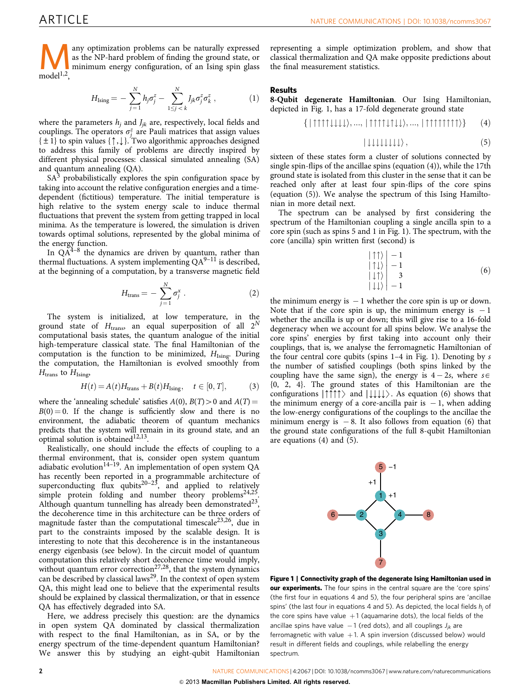<span id="page-1-0"></span>Many optimization problems can be naturally expressed<br>as the NP-hard problem of finding the ground state, or<br>model<sup>1,2</sup> as the NP-hard problem of finding the ground state, or  $model<sup>1,2</sup>$ ,

$$
H_{\text{Ising}} = -\sum_{j=1}^{N} h_j \sigma_j^z - \sum_{1 \le j < k}^{N} J_{jk} \sigma_j^z \sigma_k^z \,, \tag{1}
$$

where the parameters  $h_j$  and  $J_{jk}$  are, respectively, local fields and couplings. The operators  $\sigma_j^z$  are Pauli matrices that assign values  $\{\pm 1\}$  to spin values  $\{\uparrow,\downarrow\}$ . Two algorithmic approaches designed to address this family of problems are directly inspired by different physical processes: classical simulated annealing (SA) and quantum annealing (QA).

 $SA<sup>3</sup>$  $SA<sup>3</sup>$  $SA<sup>3</sup>$  probabilistically explores the spin configuration space by taking into account the relative configuration energies and a timedependent (fictitious) temperature. The initial temperature is high relative to the system energy scale to induce thermal fluctuations that prevent the system from getting trapped in local minima. As the temperature is lowered, the simulation is driven towards optimal solutions, represented by the global minima of the energy function.

In  $QA^{4-8}$  the dynamics are driven by quantum, rather than thermal fluctuations. A system implementing  $QA^{9-11}$  is described, at the beginning of a computation, by a transverse magnetic field

$$
H_{\text{trans}} = -\sum_{j=1}^{N} \sigma_j^x \,. \tag{2}
$$

The system is initialized, at low temperature, in the ground state of  $H_{trans}$ , an equal superposition of all  $2^N$ computational basis states, the quantum analogue of the initial high-temperature classical state. The final Hamiltonian of the computation is the function to be minimized,  $H_{Ising}$ . During the computation, the Hamiltonian is evolved smoothly from  $H_{\text{trans}}$  to  $H_{\text{Ising}}$ 

$$
H(t) = A(t)Htrans + B(t)HIsing, \quad t \in [0, T],
$$
 (3)

where the 'annealing schedule' satisfies  $A(0)$ ,  $B(T) > 0$  and  $A(T) =$  $B(0) = 0$ . If the change is sufficiently slow and there is no environment, the adiabatic theorem of quantum mechanics predicts that the system will remain in its ground state, and an optimal solution is obtained<sup>12,13</sup>.

Realistically, one should include the effects of coupling to a thermal environment, that is, consider open system quantum adiabatic evolution<sup>14-19</sup>. An implementation of open system QA has recently been reported in a programmable architecture of superconducting flux qubits<sup>20-23</sup>, and applied to relatively simple protein folding and number theory problems<sup>24,25</sup>. Although quantum tunnelling has already been demonstrated<sup>23</sup>, the decoherence time in this architecture can be three orders of magnitude faster than the computational timescale<sup>23,26</sup>, due in part to the constraints imposed by the scalable design. It is interesting to note that this decoherence is in the instantaneous energy eigenbasis (see below). In the circuit model of quantum computation this relatively short decoherence time would imply, without quantum error correction<sup>27,28</sup>, that the system dynamics can be described by classical laws<sup>29</sup>. In the context of open system QA, this might lead one to believe that the experimental results should be explained by classical thermalization, or that in essence QA has effectively degraded into SA.

Here, we address precisely this question: are the dynamics in open system QA dominated by classical thermalization with respect to the final Hamiltonian, as in SA, or by the energy spectrum of the time-dependent quantum Hamiltonian? We answer this by studying an eight-qubit Hamiltonian

representing a simple optimization problem, and show that classical thermalization and QA make opposite predictions about the final measurement statistics.

# Results

8-Qubit degenerate Hamiltonian. Our Ising Hamiltonian, depicted in Fig. 1, has a 17-fold degenerate ground state

$$
\{|\uparrow\uparrow\uparrow\downarrow\downarrow\downarrow\downarrow\rangle,...,|\uparrow\uparrow\uparrow\downarrow\uparrow\downarrow\downarrow\rangle,...,|\uparrow\uparrow\uparrow\uparrow\uparrow\uparrow\uparrow\uparrow\rangle\} \qquad (4)
$$

$$
|\downarrow\downarrow\downarrow\downarrow\downarrow\downarrow\downarrow\rangle\,,\tag{5}
$$

sixteen of these states form a cluster of solutions connected by single spin-flips of the ancillae spins (equation (4)), while the 17th ground state is isolated from this cluster in the sense that it can be reached only after at least four spin-flips of the core spins (equation (5)). We analyse the spectrum of this Ising Hamiltonian in more detail next.

The spectrum can be analysed by first considering the spectrum of the Hamiltonian coupling a single ancilla spin to a core spin (such as spins 5 and 1 in Fig. 1). The spectrum, with the core (ancilla) spin written first (second) is

$$
\begin{array}{c} \left|\uparrow\uparrow\right\rangle\\ \left|\uparrow\downarrow\right\rangle\\ \left|\downarrow\uparrow\right\rangle\\ \left|\downarrow\uparrow\right\rangle\\ \left|\downarrow\downarrow\right\rangle-1 \end{array} \tag{6}
$$

the minimum energy is  $-1$  whether the core spin is up or down. Note that if the core spin is up, the minimum energy is  $-1$ whether the ancilla is up or down; this will give rise to a 16-fold degeneracy when we account for all spins below. We analyse the core spins' energies by first taking into account only their couplings, that is, we analyse the ferromagnetic Hamiltonian of the four central core qubits (spins  $1-4$  in Fig. 1). Denoting by s the number of satisfied couplings (both spins linked by the coupling have the same sign), the energy is  $4-2s$ , where  $s \in$ {0, 2, 4}. The ground states of this Hamiltonian are the configurations  $|\uparrow \uparrow \uparrow \rangle$  and  $|\downarrow \downarrow \downarrow \rangle$ . As equation (6) shows that the minimum energy of a core-ancilla pair is  $-1$ , when adding the low-energy configurations of the couplings to the ancillae the minimum energy is  $-8$ . It also follows from equation (6) that the ground state configurations of the full 8-qubit Hamiltonian are equations  $(4)$  and  $(5)$ .



Figure 1 | Connectivity graph of the degenerate Ising Hamiltonian used in our experiments. The four spins in the central square are the 'core spins' (the first four in equations 4 and 5), the four peripheral spins are 'ancillae spins' (the last four in equations 4 and 5). As depicted, the local fields  $h_i$  of the core spins have value  $+1$  (aquamarine dots), the local fields of the ancillae spins have value  $-1$  (red dots), and all couplings  $J_{jk}$  are ferromagnetic with value  $+1$ . A spin inversion (discussed below) would result in different fields and couplings, while relabelling the energy spectrum.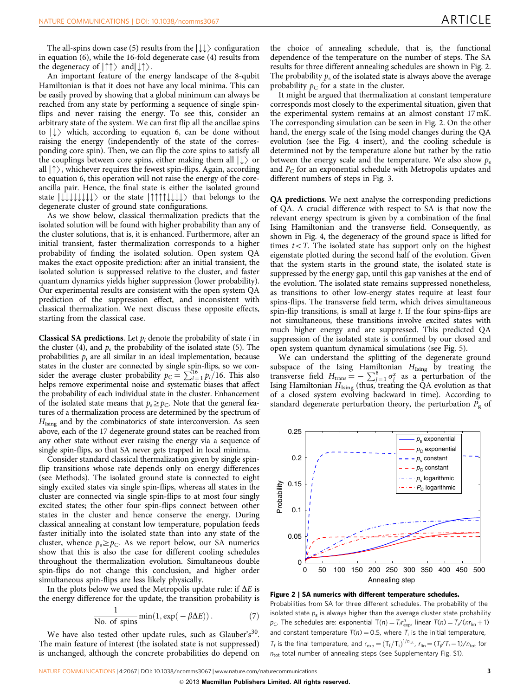The all-spins down case (5) results from the  $|\downarrow\downarrow\rangle$  configuration in equation (6), while the 16-fold degenerate case (4) results from the degeneracy of  $|\uparrow\uparrow\rangle$  and  $|\downarrow\uparrow\rangle$ .

An important feature of the energy landscape of the 8-qubit Hamiltonian is that it does not have any local minima. This can be easily proved by showing that a global minimum can always be reached from any state by performing a sequence of single spinflips and never raising the energy. To see this, consider an arbitrary state of the system. We can first flip all the ancillae spins to  $| \cdot \rangle$  which, according to equation 6, can be done without raising the energy (independently of the state of the corresponding core spin). Then, we can flip the core spins to satisfy all the couplings between core spins, either making them all  $|\downarrow\rangle$  or all  $|\uparrow\rangle$ , whichever requires the fewest spin-flips. Again, according to equation 6, this operation will not raise the energy of the coreancilla pair. Hence, the final state is either the isolated ground state  $\left| \downarrow \downarrow \downarrow \downarrow \downarrow \downarrow \downarrow \right\rangle$  or the state  $\left| \uparrow \uparrow \uparrow \downarrow \downarrow \downarrow \rangle$  that belongs to the degenerate cluster of ground state configurations.

As we show below, classical thermalization predicts that the isolated solution will be found with higher probability than any of the cluster solutions, that is, it is enhanced. Furthermore, after an initial transient, faster thermalization corresponds to a higher probability of finding the isolated solution. Open system QA makes the exact opposite prediction: after an initial transient, the isolated solution is suppressed relative to the cluster, and faster quantum dynamics yields higher suppression (lower probability). Our experimental results are consistent with the open system QA prediction of the suppression effect, and inconsistent with classical thermalization. We next discuss these opposite effects, starting from the classical case.

**Classical SA predictions.** Let  $p_i$  denote the probability of state i in the cluster (4), and  $p_s$  the probability of the isolated state (5). The probabilities  $p_i$  are all similar in an ideal implementation, because states in the cluster are connected by single spin-flips, so we consider the average cluster probability  $p_C = \sum_{i=1}^{16} p_i/16$ . This also helps remove experimental noise and systematic biases that affect the probability of each individual state in the cluster. Enhancement of the isolated state means that  $p_s \geq p_c$ . Note that the general features of a thermalization process are determined by the spectrum of  $H<sub>Ising</sub>$  and by the combinatorics of state interconversion. As seen above, each of the 17 degenerate ground states can be reached from any other state without ever raising the energy via a sequence of single spin-flips, so that SA never gets trapped in local minima.

Consider standard classical thermalization given by single spinflip transitions whose rate depends only on energy differences (see Methods). The isolated ground state is connected to eight singly excited states via single spin-flips, whereas all states in the cluster are connected via single spin-flips to at most four singly excited states; the other four spin-flips connect between other states in the cluster and hence conserve the energy. During classical annealing at constant low temperature, population feeds faster initially into the isolated state than into any state of the cluster, whence  $p_s \geq p_c$ . As we report below, our SA numerics show that this is also the case for different cooling schedules throughout the thermalization evolution. Simultaneous double spin-flips do not change this conclusion, and higher order simultaneous spin-flips are less likely physically.

In the plots below we used the Metropolis update rule: if  $\Delta E$  is the energy difference for the update, the transition probability is

$$
\frac{1}{\text{No. of spins}} \min(1, \exp(-\beta \Delta E)). \tag{7}
$$

We have also tested other update rules, such as Glauber's<sup>30</sup>. The main feature of interest (the isolated state is not suppressed) is unchanged, although the concrete probabilities do depend on

the choice of annealing schedule, that is, the functional dependence of the temperature on the number of steps. The SA results for three different annealing schedules are shown in Fig. 2. The probability  $p_s$  of the isolated state is always above the average probability  $p_C$  for a state in the cluster.

It might be argued that thermalization at constant temperature corresponds most closely to the experimental situation, given that the experimental system remains at an almost constant 17 mK. The corresponding simulation can be seen in Fig. 2. On the other hand, the energy scale of the Ising model changes during the QA evolution (see the [Fig. 4](#page-3-0) insert), and the cooling schedule is determined not by the temperature alone but rather by the ratio between the energy scale and the temperature. We also show  $p_s$ and  $P_C$  for an exponential schedule with Metropolis updates and different numbers of steps in [Fig. 3](#page-3-0).

QA predictions. We next analyse the corresponding predictions of QA. A crucial difference with respect to SA is that now the relevant energy spectrum is given by a combination of the final Ising Hamiltonian and the transverse field. Consequently, as shown in [Fig. 4,](#page-3-0) the degeneracy of the ground space is lifted for times  $t < T$ . The isolated state has support only on the highest eigenstate plotted during the second half of the evolution. Given that the system starts in the ground state, the isolated state is suppressed by the energy gap, until this gap vanishes at the end of the evolution. The isolated state remains suppressed nonetheless, as transitions to other low-energy states require at least four spins-flips. The transverse field term, which drives simultaneous spin-flip transitions, is small at large  $t$ . If the four spins-flips are not simultaneous, these transitions involve excited states with much higher energy and are suppressed. This predicted QA suppression of the isolated state is confirmed by our closed and open system quantum dynamical simulations (see [Fig. 5](#page-3-0)).

We can understand the splitting of the degenerate ground subspace of the Ising Hamiltonian  $H_{\text{Ising}}$  by treating the transverse field  $H_{trans} = -\sum_{j=1}^{8} \sigma_j^x$  as a perturbation of the Ising Hamiltonian  $H_{Ising}$  (thus, treating the QA evolution as that of a closed system evolving backward in time). According to standard degenerate perturbation theory, the perturbation  $P_g$  of



Figure 2 | SA numerics with different temperature schedules.

Probabilities from SA for three different schedules. The probability of the isolated state  $p_s$  is always higher than the average cluster state probability  $p_{\text{C}}$ . The schedules are: exponential  $T(n) = T_i r_{\text{exp}}^n$ , linear  $T(n) = T_i/(n r_{\text{lin}} + 1)$ and constant temperature  $T(n) = 0.5$ , where  $T_i$  is the initial temperature,  $T_f$  is the final temperature, and  $r_{exp} = (T_f/T_i)^{1/n_{tot}}$ ,  $r_{lin} = (T_f/T_i - 1)/n_{tot}$  for  $n_{\text{tot}}$  total number of annealing steps (see Supplementary Fig. S1).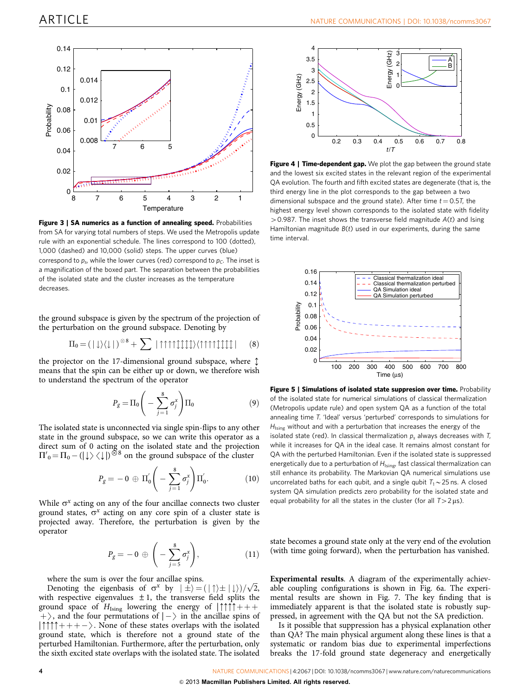<span id="page-3-0"></span>

Figure 3 | SA numerics as a function of annealing speed. Probabilities from SA for varying total numbers of steps. We used the Metropolis update rule with an exponential schedule. The lines correspond to 100 (dotted), 1,000 (dashed) and 10,000 (solid) steps. The upper curves (blue) correspond to  $p_s$ , while the lower curves (red) correspond to  $p_c$ . The inset is a magnification of the boxed part. The separation between the probabilities of the isolated state and the cluster increases as the temperature decreases.

the ground subspace is given by the spectrum of the projection of the perturbation on the ground subspace. Denoting by

$$
\Pi_0 = (|\downarrow\rangle\langle\downarrow|)^{\otimes 8} + \sum |\uparrow\uparrow\uparrow\uparrow\downarrow\downarrow\downarrow\downarrow\rangle\langle\uparrow\uparrow\uparrow\uparrow\downarrow\downarrow\downarrow\downarrow| \qquad (8)
$$

the projector on the 17-dimensional ground subspace, where  $\updownarrow$ means that the spin can be either up or down, we therefore wish to understand the spectrum of the operator

$$
P_g = \Pi_0 \left( -\sum_{j=1}^8 \sigma_j^x \right) \Pi_0 \tag{9}
$$

The isolated state is unconnected via single spin-flips to any other state in the ground subspace, so we can write this operator as a direct sum of 0 acting on the isolated state and the projection  $\Pi'_{0} = \Pi_{0} - (|\downarrow\rangle \langle \downarrow|)^{\otimes 8}$  on the ground subspace of the cluster

$$
P_g = -0 \,\oplus\, \Pi_0' \Bigg(-\sum_{j=1}^8 \sigma_j^x\Bigg)\Pi_0'.
$$
 (10)

While  $\sigma^x$  acting on any of the four ancillae connects two cluster ground states,  $\sigma^x$  acting on any core spin of a cluster state is projected away. Therefore, the perturbation is given by the operator

$$
P_g = -0 \oplus \left( -\sum_{j=5}^{8} \sigma_j^x \right), \tag{11}
$$

where the sum is over the four ancillae spins.

where the sum is over the four ancillae spins.<br>Denoting the eigenbasis of  $\sigma^x$  by  $|\pm\rangle = (|\uparrow\rangle \pm |\downarrow\rangle)/\sqrt{2}$ , with respective eigenvalues  $\pm 1$ , the transverse field splits the ground space of  $H_{Ising}$  lowering the energy of  $|\uparrow \uparrow \uparrow + +$ +), and the four permutations of  $|-\rangle$  in the ancillae spins of  $\uparrow \uparrow \uparrow + + - \rangle$ . None of these states overlaps with the isolated  $|\uparrow \uparrow \uparrow + + - \rangle$ . None of these states overlaps with the isolated ground state which is therefore not a ground state of the ground state, which is therefore not a ground state of the perturbed Hamiltonian. Furthermore, after the perturbation, only the sixth excited state overlaps with the isolated state. The isolated



Figure 4 | Time-dependent gap. We plot the gap between the ground state and the lowest six excited states in the relevant region of the experimental QA evolution. The fourth and fifth excited states are degenerate (that is, the third energy line in the plot corresponds to the gap between a two dimensional subspace and the ground state). After time  $t = 0.5T$ , the highest energy level shown corresponds to the isolated state with fidelity  $>$  0.987. The inset shows the transverse field magnitude  $A(t)$  and Ising Hamiltonian magnitude  $B(t)$  used in our experiments, during the same time interval.



Figure 5 | Simulations of isolated state suppresion over time. Probability of the isolated state for numerical simulations of classical thermalization (Metropolis update rule) and open system QA as a function of the total annealing time T. 'Ideal' versus 'perturbed' corresponds to simulations for  $H<sub>Ising</sub>$  without and with a perturbation that increases the energy of the isolated state (red). In classical thermalization  $p_s$  always decreases with T, while it increases for QA in the ideal case. It remains almost constant for QA with the perturbed Hamiltonian. Even if the isolated state is suppressed energetically due to a perturbation of  $H_{Ising}$ , fast classical thermalization can still enhance its probability. The Markovian QA numerical simulations use uncorrelated baths for each qubit, and a single qubit  $T_1 \sim 25$  ns. A closed system QA simulation predicts zero probability for the isolated state and equal probability for all the states in the cluster (for all  $T>2 \mu s$ ).

state becomes a ground state only at the very end of the evolution (with time going forward), when the perturbation has vanished.

Experimental results. A diagram of the experimentally achievable coupling configurations is shown in [Fig. 6a](#page-4-0). The experimental results are shown in [Fig. 7.](#page-4-0) The key finding that is immediately apparent is that the isolated state is robustly suppressed, in agreement with the QA but not the SA prediction.

Is it possible that suppression has a physical explanation other than QA? The main physical argument along these lines is that a systematic or random bias due to experimental imperfections breaks the 17-fold ground state degeneracy and energetically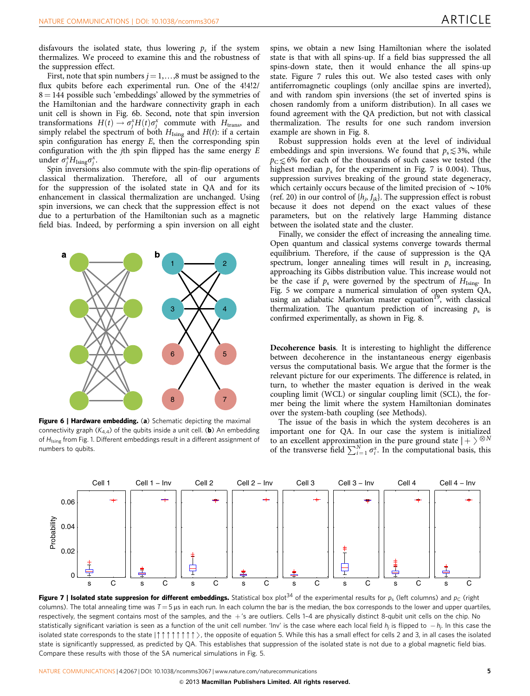<span id="page-4-0"></span>disfavours the isolated state, thus lowering  $p_s$  if the system thermalizes. We proceed to examine this and the robustness of the suppression effect.

First, note that spin numbers  $j = 1, \ldots, 8$  must be assigned to the flux qubits before each experimental run. One of the 4!4!2/  $8 = 144$  possible such 'embeddings' allowed by the symmetries of the Hamiltonian and the hardware connectivity graph in each unit cell is shown in Fig. 6b. Second, note that spin inversion transformations  $H(t) \to \sigma_j^x H(t) \sigma_j^x$  commute with  $H_{trans}$ , and simply relabel the spectrum of both  $H_{Ising}$  and  $H(t)$ : if a certain spin configuration has energy  $E$ , then the corresponding spin configuration with the *j*th spin flipped has the same energy  $E$ under  $\sigma_j^x H_{\text{Ising}} \sigma_j^x$ .

Spin inversions also commute with the spin-flip operations of classical thermalization. Therefore, all of our arguments for the suppression of the isolated state in QA and for its enhancement in classical thermalization are unchanged. Using spin inversions, we can check that the suppression effect is not due to a perturbation of the Hamiltonian such as a magnetic field bias. Indeed, by performing a spin inversion on all eight



Figure 6 | Hardware embedding. (a) Schematic depicting the maximal connectivity graph  $(K_{4,4})$  of the qubits inside a unit cell. (b) An embedding of  $H<sub>Ising</sub>$  from [Fig. 1](#page-1-0). Different embeddings result in a different assignment of numbers to qubits.

spins, we obtain a new Ising Hamiltonian where the isolated state is that with all spins-up. If a field bias suppressed the all spins-down state, then it would enhance the all spins-up state. Figure 7 rules this out. We also tested cases with only antiferromagnetic couplings (only ancillae spins are inverted), and with random spin inversions (the set of inverted spins is chosen randomly from a uniform distribution). In all cases we found agreement with the QA prediction, but not with classical thermalization. The results for one such random inversion example are shown in [Fig. 8](#page-5-0).

Robust suppression holds even at the level of individual embeddings and spin inversions. We found that  $p_s \leq 3\%$ , while  $p_C \leq 6\%$  for each of the thousands of such cases we tested (the thousands of such cases we tested (the highest median  $p_s$  for the experiment in Fig. 7 is 0.004). Thus, suppression survives breaking of the ground state degeneracy, which certainly occurs because of the limited precision of  $\sim$  10% ([ref. 20\)](#page-6-0) in our control of  $\{h_i, J_{ik}\}$ . The suppression effect is robust because it does not depend on the exact values of these parameters, but on the relatively large Hamming distance between the isolated state and the cluster.

Finally, we consider the effect of increasing the annealing time. Open quantum and classical systems converge towards thermal equilibrium. Therefore, if the cause of suppression is the QA spectrum, longer annealing times will result in  $p_s$  increasing, approaching its Gibbs distribution value. This increase would not be the case if  $p_s$  were governed by the spectrum of  $H_{Ising}$ . In [Fig. 5](#page-3-0) we compare a numerical simulation of open system QA, using an adiabatic Markovian master equation<sup>19</sup>, with classical thermalization. The quantum prediction of increasing  $p_s$  is confirmed experimentally, as shown in [Fig. 8](#page-5-0).

Decoherence basis. It is interesting to highlight the difference between decoherence in the instantaneous energy eigenbasis versus the computational basis. We argue that the former is the relevant picture for our experiments. The difference is related, in turn, to whether the master equation is derived in the weak coupling limit (WCL) or singular coupling limit (SCL), the former being the limit where the system Hamiltonian dominates over the system-bath coupling (see Methods).

The issue of the basis in which the system decoheres is an important one for QA. In our case the system is initialized to an excellent approximation in the pure ground state  $| + \rangle^{\otimes N}$ <br>of the transverse field  $\sum_{i=1}^{N} \sigma_i^x$ . In the computational basis, this



**Figure 7 | Isolated state suppresion for different embeddings.** Statistical box plot<sup>[34](#page-6-0)</sup> of the experimental results for  $p_s$  (left columns) and  $p_c$  (right columns). The total annealing time was  $T = 5 \mu s$  in each run. In each column the bar is the median, the box corresponds to the lower and upper quartiles, respectively, the segment contains most of the samples, and the  $+$ 's are outliers. Cells 1-4 are physically distinct 8-qubit unit cells on the chip. No statistically significant variation is seen as a function of the unit cell number. 'Inv' is the case where each local field  $h_j$  is flipped to  $\,$  –  $h_j$ . In this case the isolated state corresponds to the state  $|\uparrow \uparrow \uparrow \uparrow \uparrow \uparrow \uparrow \rangle$ , the opposite of equation 5. While this has a small effect for cells 2 and 3, in all cases the isolated state is significantly suppressed, as predicted by QA. This establishes that suppression of the isolated state is not due to a global magnetic field bias. Compare these results with those of the SA numerical simulations in [Fig. 5](#page-3-0).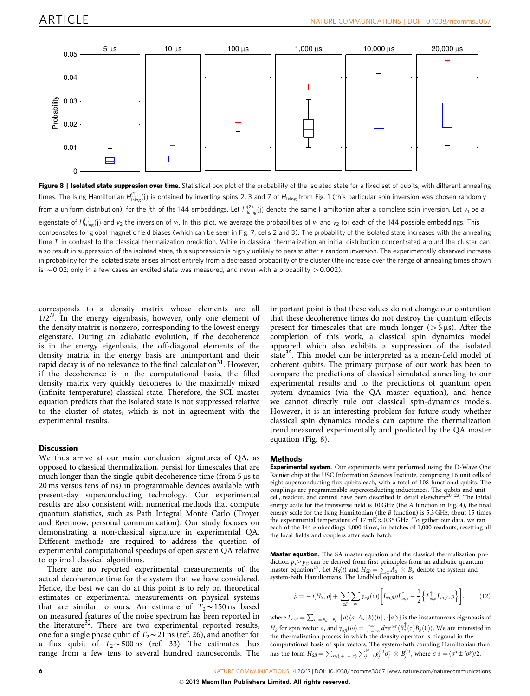<span id="page-5-0"></span>

Figure 8 | Isolated state suppresion over time. Statistical box plot of the probability of the isolated state for a fixed set of qubits, with different annealing times. The Ising Hamiltonian  $H_{\sf Ising}^{(1)}(j)$  is obtained by inverting spins 2, 3 and 7 of  $H_{\sf Ising}$  from [Fig. 1](#page-1-0) (this particular spin inversion was chosen randomly from a uniform distribution), for the jth of the 144 embeddings. Let  $H^{(2)}_{\rm Ising}(j)$  denote the same Hamiltonian after a complete spin inversion. Let  $v_1$  be a eigenstate of  $H^{(1)}_{\text{Ising}}(\mathsf{j})$  and  $v_2$  the inversion of  $v_1$ . In this plot, we average the probabilities of  $v_1$  and  $v_2$  for each of the 144 possible embeddings. This compensates for global magnetic field biases (which can be seen in [Fig. 7](#page-4-0), cells 2 and 3). The probability of the isolated state increases with the annealing time T, in contrast to the classical thermalization prediction. While in classical thermalization an initial distribution concentrated around the cluster can also result in suppression of the isolated state, this suppression is highly unlikely to persist after a random inversion. The experimentally observed increase in probability for the isolated state arises almost entirely from a decreased probability of the cluster (the increase over the range of annealing times shown is  $\sim$  0.02; only in a few cases an excited state was measured, and never with a probability  $>$  0.002).

corresponds to a density matrix whose elements are all  $1/2<sup>N</sup>$ . In the energy eigenbasis, however, only one element of the density matrix is nonzero, corresponding to the lowest energy eigenstate. During an adiabatic evolution, if the decoherence is in the energy eigenbasis, the off-diagonal elements of the density matrix in the energy basis are unimportant and their rapid decay is of no relevance to the final calculation<sup>31</sup>. However, if the decoherence is in the computational basis, the filled density matrix very quickly decoheres to the maximally mixed (infinite temperature) classical state. Therefore, the SCL master equation predicts that the isolated state is not suppressed relative to the cluster of states, which is not in agreement with the experimental results.

## **Discussion**

We thus arrive at our main conclusion: signatures of QA, as opposed to classical thermalization, persist for timescales that are much longer than the single-qubit decoherence time (from  $5 \mu s$  to 20 ms versus tens of ns) in programmable devices available with present-day superconducting technology. Our experimental results are also consistent with numerical methods that compute quantum statistics, such as Path Integral Monte Carlo (Troyer and Røennow, personal communication). Our study focuses on demonstrating a non-classical signature in experimental QA. Different methods are required to address the question of experimental computational speedups of open system QA relative to optimal classical algorithms.

There are no reported experimental measurements of the actual decoherence time for the system that we have considered. Hence, the best we can do at this point is to rely on theoretical estimates or experimental measurements on physical systems that are similar to ours. An estimate of  $T_2 \sim 150$  ns based on measured features of the noise spectrum has been reported in the literature<sup>[32](#page-6-0)</sup>. There are two experimental reported results, one for a single phase qubit of  $T_2 \sim 21$  ns ([ref. 26](#page-6-0)), and another for a flux qubit of  $T_2 \sim 500$  ns ([ref. 33](#page-6-0)). The estimates thus range from a few tens to several hundred nanoseconds. The

important point is that these values do not change our contention that these decoherence times do not destroy the quantum effects present for timescales that are much longer ( $> 5 \,\mu s$ ). After the completion of this work, a classical spin dynamics model appeared which also exhibits a suppression of the isolated state<sup>[35](#page-6-0)</sup>. This model can be interpreted as a mean-field model of coherent qubits. The primary purpose of our work has been to compare the predictions of classical simulated annealing to our experimental results and to the predictions of quantum open system dynamics (via the QA master equation), and hence we cannot directly rule out classical spin-dynamics models. However, it is an interesting problem for future study whether classical spin dynamics models can capture the thermalization trend measured experimentally and predicted by the QA master equation (Fig. 8).

#### Methods

Experimental system. Our experiments were performed using the D-Wave One Rainier chip at the USC Information Sciences Institute, comprising 16 unit cells of eight superconducting flux qubits each, with a total of 108 functional qubits. The couplings are programmable superconducting inductances. The qubits and unit cell, readout, and control have been described in detail elsewhere<sup>[20–23](#page-6-0)</sup>. The initial energy scale for the transverse field is 10 GHz (the A function in [Fig. 4](#page-3-0)), the final energy scale for the Ising Hamiltonian (the B function) is 5.3 GHz, about 15 times the experimental temperature of  $17 \text{ mK} \approx 0.35 \text{ GHz}$ . To gather our data, we ran each of the 144 embeddings 4,000 times, in batches of 1,000 readouts, resetting all the local fields and couplers after each batch.

Master equation. The SA master equation and the classical thermalization prediction  $p_s{\ge}p_C$  can be derived from first principles from an adiabatic quantum master equation<sup>[19](#page-6-0)</sup>. Let  $H_S(t)$  and  $H_{SB} = \sum_{\alpha} A_{\alpha} \otimes B_{\alpha}$  denote the system and system-bath Hamiltonians. The Lindblad equation is

$$
\dot{\rho} = -i[H_S, \rho] + \sum_{\alpha\beta} \sum_{\omega} \gamma_{\alpha\beta}(\omega) \left[ L_{\omega,\beta} \rho L_{\omega,\alpha}^{\dagger} - \frac{1}{2} \left\{ L_{\omega,\alpha}^{\dagger} L_{\omega,\beta}, \rho \right\} \right],
$$
 (12)

where  $L_{\omega,a} = \sum_{\omega = E_b - E_a} |a\rangle\langle a| A_{\alpha} |b\rangle\langle b|$ ,  $\{|a\rangle\}$  is the instantaneous eigenbasis of  $H_S$  for spin vector a, and  $\gamma_{\alpha\beta}(\omega) = \int_{-\infty}^{\infty} d\tau e^{i\omega\tau} \langle B_{\mu}^{\dagger}(\tau)B_{\beta}(0) \rangle$ . We are interested in the thermalization process in which the density operator is diagonal in the computational basis of spin vectors. The system-bath coupling Hamiltonian then<br>has the form  $H_{SB} = \sum_{r \in \{+, -, z\}} \sum_{j=1}^{N} g_j^{(r)} \sigma_j^r \otimes B_j^{(r)}$ , where  $\sigma \pm ( \sigma^x \pm i \sigma^y)/2$ .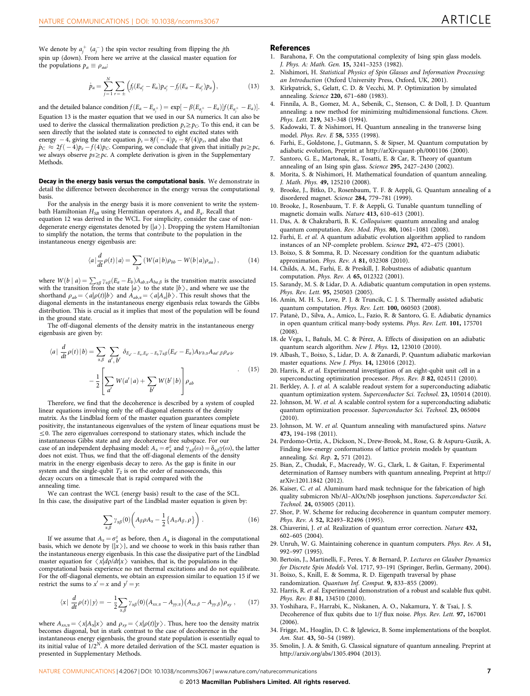<span id="page-6-0"></span>We denote by  $a_j^+$   $(a_j^-)$  the spin vector resulting from flipping the *j*th spin up (down). From here we arrive at the classical master equation for the populations  $p_a \equiv \rho_{aa}$ :

$$
\dot{p}_a = \sum_{j=1}^N \sum_{r=\pm} \left( f_j (E_{a_j^r} - E_a) p_{a_j^r} - f_j (E_a - E_{a_j^r}) p_a \right), \tag{13}
$$

and the detailed balance condition  $f(E_a - E_{a_j^\pm}) = \exp[-\beta(E_{a_j^\pm} - E_a)]f(E_{a_j^\pm} - E_a)].$ Equation 13 is the master equation that we used in our SA numerics. It can also be used to derive the classical thermalization prediction  $p_s \geq p_C$ . To this end, it can be seen directly that the isolated state is connected to eight excited states with energy  $-4$ , giving the rate equation  $\dot{p}_s = 8f(-4)p_e - 8f(4)p_s$ , and also that  $\dot{p}_C \approx 2f(-4)p_e - f(4)p_C$ . Comparing, we conclude that given that initially  $ps{\geq}pc$ , we always observe  $ps \ge pc$ . A complete derivation is given in the Supplementary Methods.

Decay in the energy basis versus the computational basis. We demonstrate in detail the difference between decoherence in the energy versus the computational basis.

For the analysis in the energy basis it is more convenient to write the systembath Hamiltonian  $H_{SB}$  using Hermitian operators  $A_{\alpha}$  and  $B_{\alpha}$ . Recall that equation 12 was derived in the WCL. For simplicity, consider the case of nondegenerate energy eigenstates denoted by  $\{|a\rangle\}$ . Dropping the system Hamiltonian to simplify the notation, the terms that contribute to the population in the instantaneous energy eigenbasis are:

$$
\langle a|\frac{d}{dt}\rho(t)|a\rangle = \sum_{b} \left( W(a|b)\rho_{bb} - W(b|a)\rho_{aa} \right),\tag{14}
$$

where  $W(b \mid a) = \sum_{\alpha\beta} \gamma_{\alpha\beta} (E_a - E_b) A_{ab,\alpha} A_{ba,\beta}$  is the transition matrix associated with the transition from the state  $|a\rangle$  to the state  $|b\rangle$ , and where we use the shorthand  $a_{ab} = \langle a|a(t)|b\rangle$  and  $A_{ab} = \langle a|A_{ab}b\rangle$ . This result shows that the shorthand  $\rho_{ab} = \langle a|\rho(t)|b\rangle$  and  $A_{ab,\alpha} = \langle a|A_{\alpha}|b\rangle$ . This result shows that the diagonal elements in the instantaneous energy eigenbasis relax towards the Gibbs distribution. This is crucial as it implies that most of the population will be found in the ground state.

The off-diagonal elements of the density matrix in the instantaneous energy eigenbasis are given by:

$$
\langle a| \frac{d}{dt} \rho(t) | b \rangle = \sum_{\alpha, \beta} \sum_{a', b'} \delta_{E_{a'} - E_a, E_{b'} - E_b} \gamma_{\alpha\beta} (E_{a'} - E_a) A_{b'b, \alpha} A_{aa', \beta} \rho_{a'b'} - \frac{1}{2} \left[ \sum_{a'} W(a' | a) + \sum_{b'} W(b' | b) \right] \rho_{ab} \tag{15}
$$

Therefore, we find that the decoherence is described by a system of coupled linear equations involving only the off-diagonal elements of the density matrix. As the Lindblad form of the master equation guarantees complete positivity, the instantaneous eigenvalues of the system of linear equations must be  $\leq$ 0. The zero eigenvalues correspond to stationary states, which include the instantaneous Gibbs state and any decoherence free subspace. For our case of an independent dephasing model:  $A_\alpha = \sigma_\alpha^z$  and  $\gamma_{\alpha\beta}(\omega) = \delta_{\alpha\beta}\gamma(\omega)$ , the latter does not exist. Thus, we find that the off-diagonal elements of the density matrix in the energy eigenbasis decay to zero. As the gap is finite in our system and the single-qubit  $T_2$  is on the order of nanoseconds, this decay occurs on a timescale that is rapid compared with the annealing time.

We can contrast the WCL (energy basis) result to the case of the SCL. In this case, the dissipative part of the Lindblad master equation is given by:

$$
\sum_{\alpha,\beta} \gamma_{\alpha\beta}(0) \left( A_{\beta} \rho A_{\alpha} - \frac{1}{2} \{ A_{\alpha} A_{\beta}, \rho \} \right). \tag{16}
$$

If we assume that  $A_{\alpha} = \sigma_{\alpha}^{z}$  as before, then  $A_{\alpha}$  is diagonal in the computational basis, which we denote by  $\{|x\rangle\}$ , and we choose to work in this basis rather than the instantaneous energy eigenbasis. In this case the dissipative part of the Lindblad master equation for  $\langle x|d\rho/dt|x\rangle$  vanishes, that is, the populations in the computational basis experience no net thermal excitations and do not equilibrate. For the off-diagonal elements, we obtain an expression similar to equation 15 if we restrict the sums to  $x' = x$  and  $y' = y$ :

$$
\langle x| \frac{d}{dt} \rho(t) |y\rangle = -\frac{1}{2} \sum_{\alpha,\beta} \gamma_{\alpha\beta}(0) \big(A_{xx,\alpha} - A_{yy,\alpha}\big) \big(A_{xx,\beta} - A_{yy,\beta}\big) \rho_{xy} , \qquad (17)
$$

where  $A_{xx,\alpha} = \langle x|A_{\alpha}|x\rangle$  and  $\rho_{xy} = \langle x|\rho(t)|y\rangle$ . Thus, here too the density matrix becomes diagonal, but in stark contrast to the case of decoherence in the instantaneous energy eigenbasis, the ground state population is essentially equal to its initial value of  $1/2^N$ . A more detailed derivation of the SCL master equation is presented in Supplementary Methods.

#### **References**

- 1. Barahona, F. On the computational complexity of Ising spin glass models. J. Phys. A: Math. Gen. 15, 3241–3253 (1982).
- 2. Nishimori, H. Statistical Physics of Spin Glasses and Information Processing: an Introduction (Oxford University Press, Oxford, UK, 2001).
- 3. Kirkpatrick, S., Gelatt, C. D. & Vecchi, M. P. Optimization by simulated annealing. Science 220, 671–680 (1983).
- 4. Finnila, A. B., Gomez, M. A., Sebenik, C., Stenson, C. & Doll, J. D. Quantum annealing: a new method for minimizing multidimensional functions. Chem. Phys. Lett. 219, 343–348 (1994).
- 5. Kadowaki, T. & Nishimori, H. Quantum annealing in the transverse Ising model. Phys. Rev. E 58, 5355 (1998).
- Farhi, E., Goldstone, J., Gutmann, S. & Sipser, M. Quantum computation by adiabatic evolution, Preprint at http://arXiv:quant-ph/0001106 (2000).
- 7. Santoro, G. E., Martonak, R., Tosatti, E. & Car, R. Theory of quantum annealing of an Ising spin glass. Science 295, 2427–2430 (2002).
- 8. Morita, S. & Nishimori, H. Mathematical foundation of quantum annealing. J. Math. Phys. 49, 125210 (2008).
- 9. Brooke, J., Bitko, D., Rosenbaum, T. F. & Aeppli, G. Quantum annealing of a disordered magnet. Science 284, 779–781 (1999).
- 10. Brooke, J., Rosenbaum, T. F. & Aeppli, G. Tunable quantum tunnelling of magnetic domain walls. Nature 413, 610–613 (2001).
- 11. Das, A. & Chakrabarti, B. K. Colloquium: quantum annealing and analog quantum computation. Rev. Mod. Phys. 80, 1061–1081 (2008).
- 12. Farhi, E. et al. A quantum adiabatic evolution algorithm applied to random instances of an NP-complete problem. Science 292, 472–475 (2001).
- 13. Boixo, S. & Somma, R. D. Necessary condition for the quantum adiabatic approximation. Phys. Rev. A 81, 032308 (2010).
- 14. Childs, A. M., Farhi, E. & Preskill, J. Robustness of adiabatic quantum computation. Phys. Rev. A 65, 012322 (2001).
- 15. Sarandy, M. S. & Lidar, D. A. Adiabatic quantum computation in open systems. Phys. Rev. Lett. 95, 250503 (2005).
- 16. Amin, M. H. S., Love, P. J. & Truncik, C. J. S. Thermally assisted adiabatic quantum computation. Phys. Rev. Lett. 100, 060503 (2008).
- 17. Patane`, D., Silva, A., Amico, L., Fazio, R. & Santoro, G. E. Adiabatic dynamics in open quantum critical many-body systems. Phys. Rev. Lett. 101, 175701 (2008).
- 18. de Vega, I., Bañuls, M. C. & Pérez, A. Effects of dissipation on an adiabatic quantum search algorithm. New J. Phys. 12, 123010 (2010).
- 19. Albash, T., Boixo, S., Lidar, D. A. & Zanardi, P. Quantum adiabatic markovian master equations. New J. Phys. 14, 123016 (2012).
- 20. Harris, R. et al. Experimental investigation of an eight-qubit unit cell in a superconducting optimization processor. Phys. Rev. B 82, 024511 (2010).
- 21. Berkley, A. J. et al. A scalable readout system for a superconducting adiabatic quantum optimization system. Superconductor Sci. Technol. 23, 105014 (2010).
- 22. Johnson, M. W. et al. A scalable control system for a superconducting adiabatic quantum optimization processor. Superconductor Sci. Technol. 23, 065004 (2010).
- 23. Johnson, M. W. et al. Quantum annealing with manufactured spins. Nature 473, 194–198 (2011).
- 24. Perdomo-Ortiz, A., Dickson, N., Drew-Brook, M., Rose, G. & Aspuru-Guzik, A. Finding low-energy conformations of lattice protein models by quantum annealing. Sci. Rep. 2, 571 (2012).
- 25. Bian, Z., Chudak, F., Macready, W. G., Clark, L. & Gaitan, F. Experimental determination of Ramsey numbers with quantum annealing, Preprint at http:// arXiv:1201.1842 (2012).
- 26. Kaiser, C. et al. Aluminum hard mask technique for the fabrication of high quality submicron Nb/Al–AlOx/Nb josephson junctions. Superconductor Sci. Technol. 24, 035005 (2011).
- 27. Shor, P. W. Scheme for reducing decoherence in quantum computer memory. Phys. Rev. A 52, R2493-R2496 (1995).
- 28. Chiaverini, J. et al. Realization of quantum error correction. Nature 432, 602–605 (2004).
- 29. Unruh, W. G. Maintaining coherence in quantum computers. Phys. Rev. A 51, 992–997 (1995).
- 30. Bertoin, J., Martinelli, F., Peres, Y. & Bernard, P. Lectures on Glauber Dynamics for Discrete Spin Models Vol. 1717, 93–191 (Springer, Berlin, Germany, 2004).
- 31. Boixo, S., Knill, E. & Somma, R. D. Eigenpath traversal by phase randomization. Quantum Inf. Comput. 9, 833–855 (2009).
- 32. Harris, R. et al. Experimental demonstration of a robust and scalable flux qubit. Phys. Rev. B 81, 134510 (2010).
- 33. Yoshihara, F., Harrabi, K., Niskanen, A. O., Nakamura, Y. & Tsai, J. S. Decoherence of flux qubits due to 1/f flux noise. Phys. Rev. Lett. 97, 167001 (2006).
- 34. Frigge, M., Hoaglin, D. C. & Iglewicz, B. Some implementations of the boxplot. Am. Stat. 43, 50–54 (1989).
- 35. Smolin, J. A. & Smith, G. Classical signature of quantum annealing. Preprint at http://arxiv.org/abs/1305.4904 (2013).